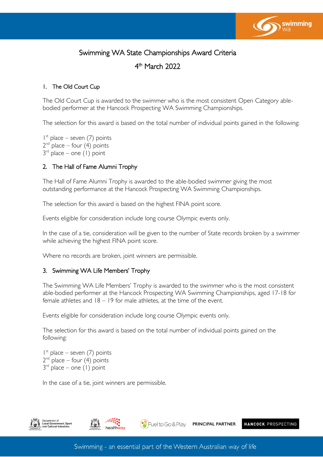

# Swimming WA State Championships Award Criteria

4 th March 2022

# 1. The Old Court Cup

The Old Court Cup is awarded to the swimmer who is the most consistent Open Category ablebodied performer at the Hancock Prospecting WA Swimming Championships.

The selection for this award is based on the total number of individual points gained in the following:

1 st place – seven (7) points  $2^{nd}$  place – four (4) points  $3<sup>rd</sup>$  place – one (1) point

# 2. The Hall of Fame Alumni Trophy

The Hall of Fame Alumni Trophy is awarded to the able-bodied swimmer giving the most outstanding performance at the Hancock Prospecting WA Swimming Championships.

The selection for this award is based on the highest FINA point score.

Events eligible for consideration include long course Olympic events only.

In the case of a tie, consideration will be given to the number of State records broken by a swimmer while achieving the highest FINA point score.

Where no records are broken, joint winners are permissible.

# 3. Swimming WA Life Members' Trophy

The Swimming WA Life Members' Trophy is awarded to the swimmer who is the most consistent able-bodied performer at the Hancock Prospecting WA Swimming Championships, aged 17-18 for female athletes and 18 – 19 for male athletes, at the time of the event.

Events eligible for consideration include long course Olympic events only.

The selection for this award is based on the total number of individual points gained on the following:

1 st place – seven (7) points  $2^{nd}$  place – four (4) points  $3<sup>rd</sup>$  place – one (1) point

In the case of a tie, joint winners are permissible.





<sup>8</sup> Fuel to Go & Play. PRINCIPAL PARTNER HANCOCK PROSPECTING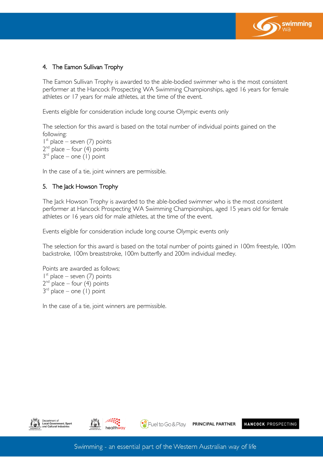

# 4. The Eamon Sullivan Trophy

The Eamon Sullivan Trophy is awarded to the able-bodied swimmer who is the most consistent performer at the Hancock Prospecting WA Swimming Championships, aged 16 years for female athletes or 17 years for male athletes, at the time of the event.

Events eligible for consideration include long course Olympic events only

The selection for this award is based on the total number of individual points gained on the following:

1 st place – seven (7) points  $2^{nd}$  place – four (4) points  $3<sup>rd</sup>$  place – one (1) point

In the case of a tie, joint winners are permissible.

# 5. The Jack Howson Trophy

The Jack Howson Trophy is awarded to the able-bodied swimmer who is the most consistent performer at Hancock Prospecting WA Swimming Championships, aged 15 years old for female athletes or 16 years old for male athletes, at the time of the event.

Events eligible for consideration include long course Olympic events only

The selection for this award is based on the total number of points gained in 100m freestyle, 100m backstroke, 100m breaststroke, 100m butterfly and 200m individual medley.

Points are awarded as follows; 1 st place – seven (7) points  $2^{nd}$  place – four  $(4)$  points  $3<sup>rd</sup>$  place – one (1) point

In the case of a tie, joint winners are permissible.





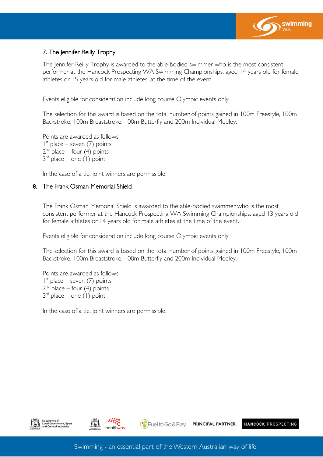

# 7. The Jennifer Reilly Trophy

The Jennifer Reilly Trophy is awarded to the able-bodied swimmer who is the most consistent performer at the Hancock Prospecting WA Swimming Championships, aged 14 years old for female athletes or 15 years old for male athletes, at the time of the event.

Events eligible for consideration include long course Olympic events only

The selection for this award is based on the total number of points gained in 100m Freestyle, 100m Backstroke, 100m Breaststroke, 100m Butterfly and 200m Individual Medley.

Points are awarded as follows; 1 st place – seven (7) points  $2^{nd}$  place – four (4) points  $3<sup>rd</sup>$  place – one (1) point

In the case of a tie, joint winners are permissible.

#### 8. The Frank Osman Memorial Shield

The Frank Osman Memorial Shield is awarded to the able-bodied swimmer who is the most consistent performer at the Hancock Prospecting WA Swimming Championships, aged 13 years old for female athletes or 14 years old for male athletes at the time of the event.

Events eligible for consideration include long course Olympic events only

The selection for this award is based on the total number of points gained in 100m Freestyle, 100m Backstroke, 100m Breaststroke, 100m Butterfly and 200m Individual Medley.

Points are awarded as follows; 1 st place – seven (7) points  $2^{nd}$  place – four (4) points 3 rd place – one (1) point

In the case of a tie, joint winners are permissible.